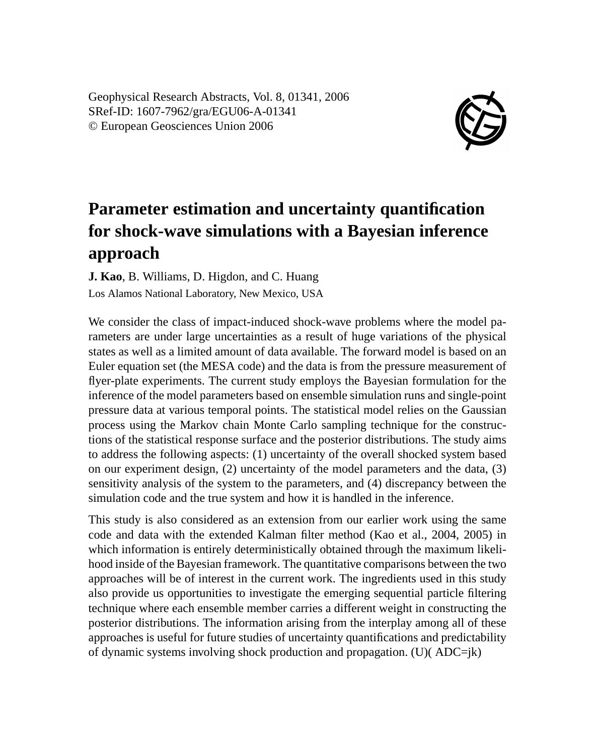Geophysical Research Abstracts, Vol. 8, 01341, 2006 SRef-ID: 1607-7962/gra/EGU06-A-01341 © European Geosciences Union 2006



## **Parameter estimation and uncertainty quantification for shock-wave simulations with a Bayesian inference approach**

**J. Kao**, B. Williams, D. Higdon, and C. Huang Los Alamos National Laboratory, New Mexico, USA

We consider the class of impact-induced shock-wave problems where the model parameters are under large uncertainties as a result of huge variations of the physical states as well as a limited amount of data available. The forward model is based on an Euler equation set (the MESA code) and the data is from the pressure measurement of flyer-plate experiments. The current study employs the Bayesian formulation for the inference of the model parameters based on ensemble simulation runs and single-point pressure data at various temporal points. The statistical model relies on the Gaussian process using the Markov chain Monte Carlo sampling technique for the constructions of the statistical response surface and the posterior distributions. The study aims to address the following aspects: (1) uncertainty of the overall shocked system based on our experiment design, (2) uncertainty of the model parameters and the data, (3) sensitivity analysis of the system to the parameters, and (4) discrepancy between the simulation code and the true system and how it is handled in the inference.

This study is also considered as an extension from our earlier work using the same code and data with the extended Kalman filter method (Kao et al., 2004, 2005) in which information is entirely deterministically obtained through the maximum likelihood inside of the Bayesian framework. The quantitative comparisons between the two approaches will be of interest in the current work. The ingredients used in this study also provide us opportunities to investigate the emerging sequential particle filtering technique where each ensemble member carries a different weight in constructing the posterior distributions. The information arising from the interplay among all of these approaches is useful for future studies of uncertainty quantifications and predictability of dynamic systems involving shock production and propagation. (U)( ADC=jk)